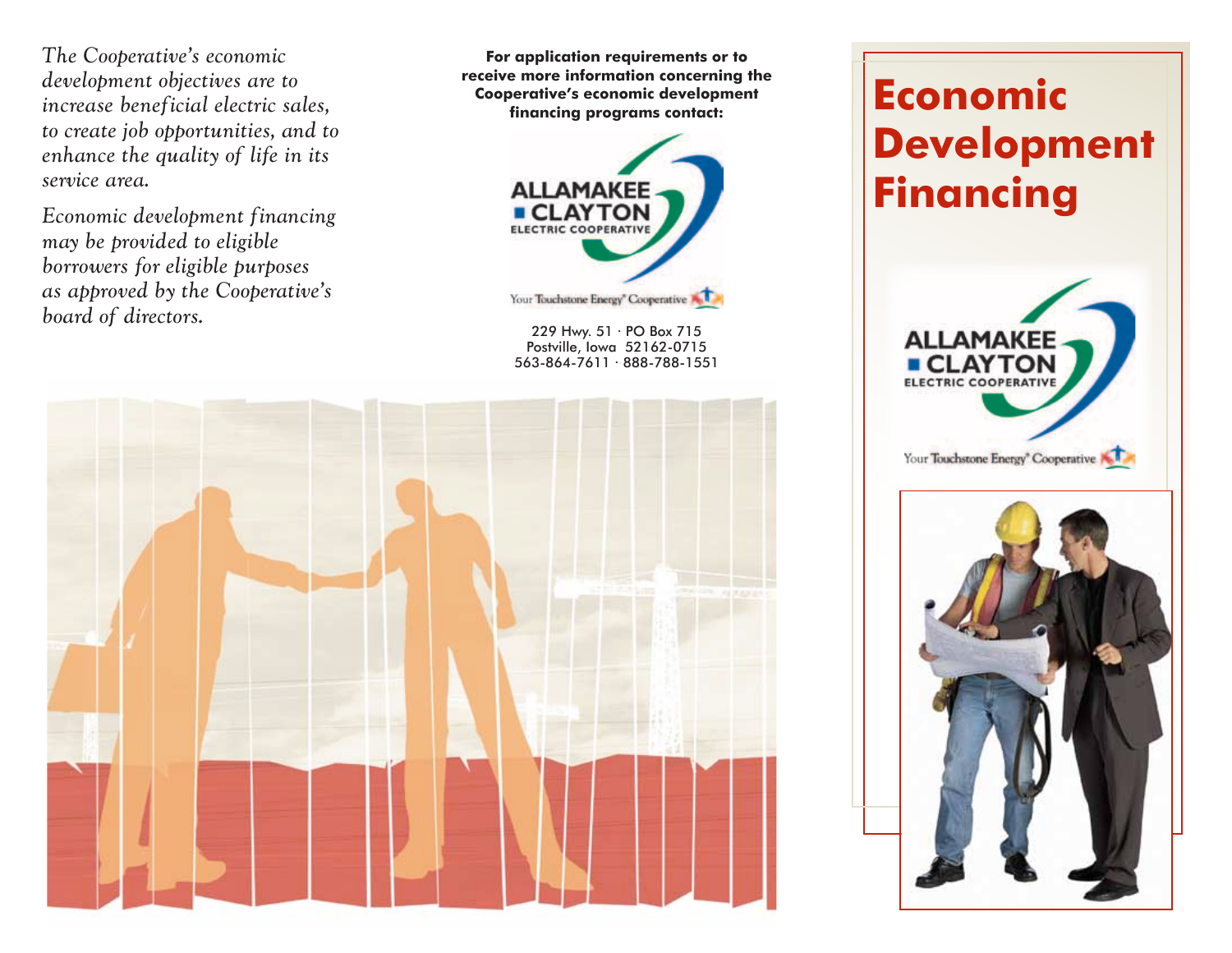*The Cooperative's economic development objectives are to increase beneficial electric sales, to create job opportunities, and to enhance the quality of life in its service area.*

*Economic development financing may be provided to eligible borrowers for eligible purposes as approved by the Cooperative's board of directors.*

**For application requirements or to receive more information concerning the Cooperative's economic development financing programs contact:**



229 Hwy. 51 · PO Box 715 Postville, Iowa 52162-0715 563-864-7611 · 888-788-1551



# **Economic Development Financing**